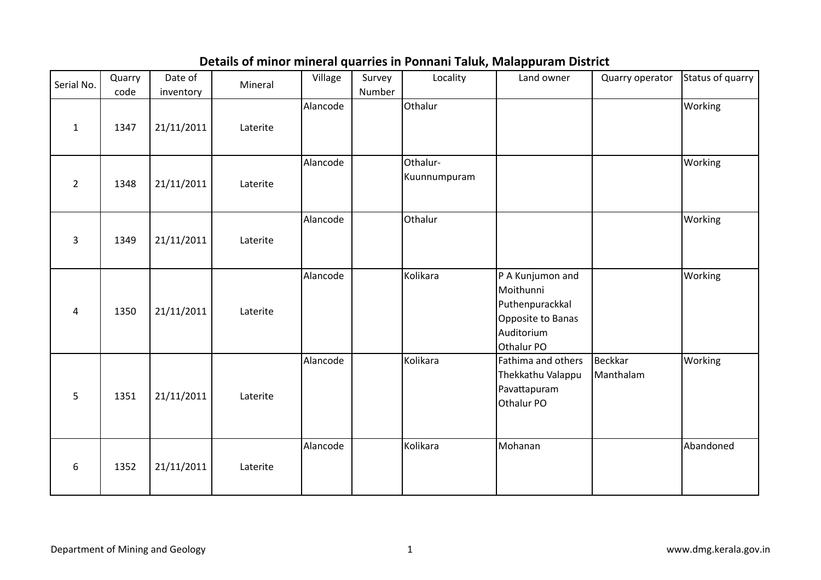## Details of minor mineral quarries in Ponnani Taluk, Malappuram District

| Serial No.     | Quarry<br>code | Date of<br>inventory | Mineral  | Village  | Survey<br>Number | Locality                 | Land owner                                                                                        | Quarry operator             | Status of quarry |
|----------------|----------------|----------------------|----------|----------|------------------|--------------------------|---------------------------------------------------------------------------------------------------|-----------------------------|------------------|
| $\mathbf{1}$   | 1347           | 21/11/2011           | Laterite | Alancode |                  | Othalur                  |                                                                                                   |                             | Working          |
| $\overline{2}$ | 1348           | 21/11/2011           | Laterite | Alancode |                  | Othalur-<br>Kuunnumpuram |                                                                                                   |                             | Working          |
| 3              | 1349           | 21/11/2011           | Laterite | Alancode |                  | Othalur                  |                                                                                                   |                             | Working          |
| 4              | 1350           | 21/11/2011           | Laterite | Alancode |                  | Kolikara                 | P A Kunjumon and<br>Moithunni<br>Puthenpurackkal<br>Opposite to Banas<br>Auditorium<br>Othalur PO |                             | Working          |
| 5              | 1351           | 21/11/2011           | Laterite | Alancode |                  | Kolikara                 | Fathima and others<br>Thekkathu Valappu<br>Pavattapuram<br>Othalur PO                             | <b>Beckkar</b><br>Manthalam | Working          |
| 6              | 1352           | 21/11/2011           | Laterite | Alancode |                  | Kolikara                 | Mohanan                                                                                           |                             | Abandoned        |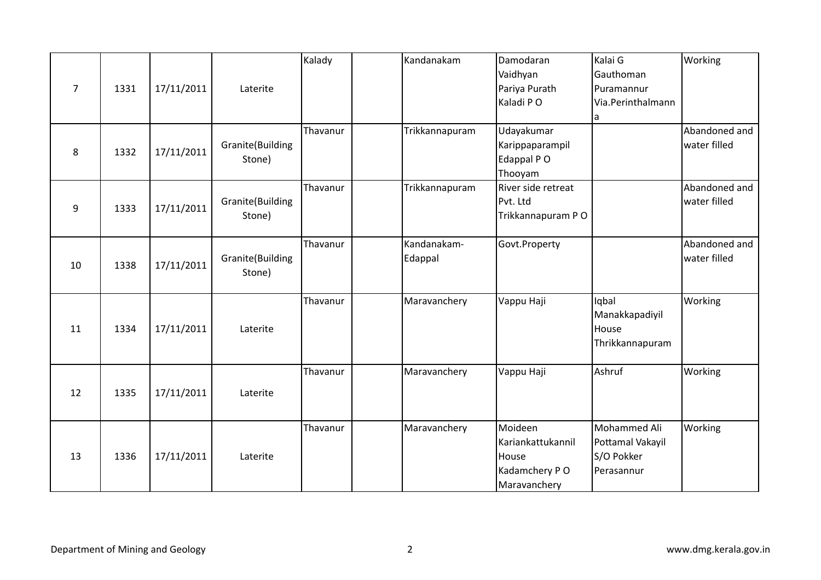| 7  | 1331 | 17/11/2011 | Laterite                   | Kalady   | Kandanakam             | Damodaran<br>Vaidhyan<br>Pariya Purath<br>Kaladi PO                    | Kalai G<br>Gauthoman<br>Puramannur<br>Via.Perinthalmann<br>a | Working                       |
|----|------|------------|----------------------------|----------|------------------------|------------------------------------------------------------------------|--------------------------------------------------------------|-------------------------------|
| 8  | 1332 | 17/11/2011 | Granite(Building<br>Stone) | Thavanur | Trikkannapuram         | Udayakumar<br>Karippaparampil<br>Edappal PO<br>Thooyam                 |                                                              | Abandoned and<br>water filled |
| 9  | 1333 | 17/11/2011 | Granite(Building<br>Stone) | Thavanur | Trikkannapuram         | River side retreat<br>Pvt. Ltd<br>Trikkannapuram PO                    |                                                              | Abandoned and<br>water filled |
| 10 | 1338 | 17/11/2011 | Granite(Building<br>Stone) | Thavanur | Kandanakam-<br>Edappal | Govt.Property                                                          |                                                              | Abandoned and<br>water filled |
| 11 | 1334 | 17/11/2011 | Laterite                   | Thavanur | Maravanchery           | Vappu Haji                                                             | Iqbal<br>Manakkapadiyil<br>House<br>Thrikkannapuram          | Working                       |
| 12 | 1335 | 17/11/2011 | Laterite                   | Thavanur | Maravanchery           | Vappu Haji                                                             | Ashruf                                                       | Working                       |
| 13 | 1336 | 17/11/2011 | Laterite                   | Thavanur | Maravanchery           | Moideen<br>Kariankattukannil<br>House<br>Kadamchery PO<br>Maravanchery | Mohammed Ali<br>Pottamal Vakayil<br>S/O Pokker<br>Perasannur | Working                       |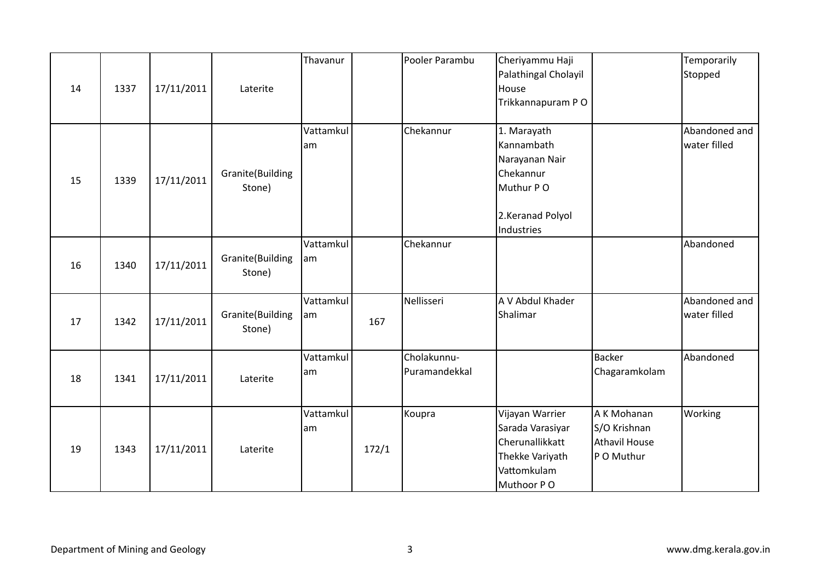| 14 | 1337 | 17/11/2011 | Laterite                   | Thavanur        |       | Pooler Parambu               | Cheriyammu Haji<br>Palathingal Cholayil<br>House<br>Trikkannapuram PO                                   |                                                                   | Temporarily<br>Stopped        |
|----|------|------------|----------------------------|-----------------|-------|------------------------------|---------------------------------------------------------------------------------------------------------|-------------------------------------------------------------------|-------------------------------|
| 15 | 1339 | 17/11/2011 | Granite(Building<br>Stone) | Vattamkul<br>am |       | Chekannur                    | 1. Marayath<br>Kannambath<br>Narayanan Nair<br>Chekannur<br>Muthur PO<br>2.Keranad Polyol<br>Industries |                                                                   | Abandoned and<br>water filled |
| 16 | 1340 | 17/11/2011 | Granite(Building<br>Stone) | Vattamkul<br>am |       | Chekannur                    |                                                                                                         |                                                                   | Abandoned                     |
| 17 | 1342 | 17/11/2011 | Granite(Building<br>Stone) | Vattamkul<br>am | 167   | Nellisseri                   | A V Abdul Khader<br>Shalimar                                                                            |                                                                   | Abandoned and<br>water filled |
| 18 | 1341 | 17/11/2011 | Laterite                   | Vattamkul<br>am |       | Cholakunnu-<br>Puramandekkal |                                                                                                         | <b>Backer</b><br>Chagaramkolam                                    | Abandoned                     |
| 19 | 1343 | 17/11/2011 | Laterite                   | Vattamkul<br>am | 172/1 | Koupra                       | Vijayan Warrier<br>Sarada Varasiyar<br>Cherunallikkatt<br>Thekke Variyath<br>Vattomkulam<br>Muthoor PO  | A K Mohanan<br>S/O Krishnan<br><b>Athavil House</b><br>P O Muthur | Working                       |